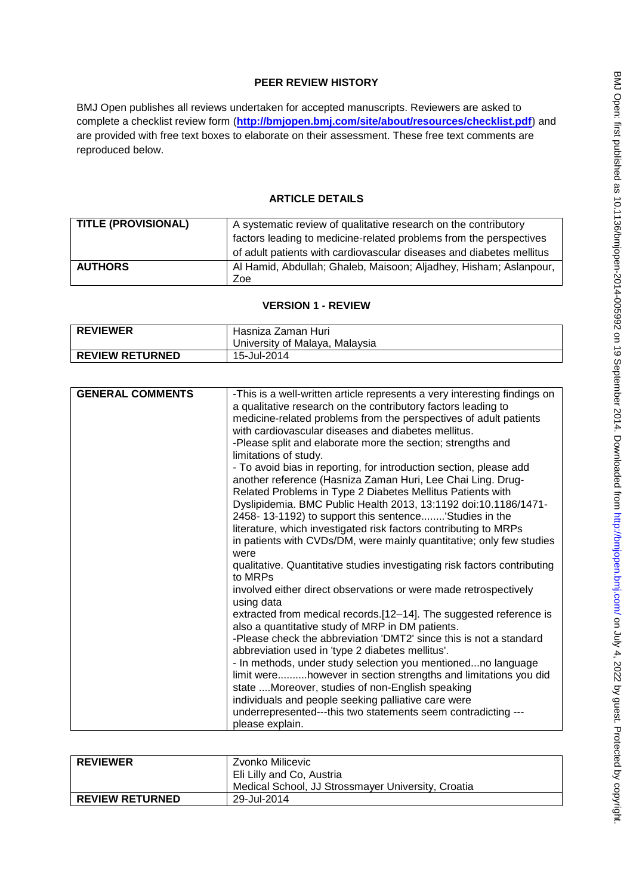# BMJ Open: first published as 10.11136/bmijopen-2014-005992 on 19 September 2014. Downloaded from http://bmjopen.bmj.com/ on July 4, 2022 by guest. Protected by copyright. BMJ Open: first published as 10.1136/bmjopen-2014-005992 on 19 September 2014. Downloaded from <http://bmjopen.bmj.com/> on July 4, 2022 by guest. Protected by copyright.

# **PEER REVIEW HISTORY**

BMJ Open publishes all reviews undertaken for accepted manuscripts. Reviewers are asked to complete a checklist review form (**[http://bmjopen.bmj.com/site/about/resources/checklist.pdf\)](http://bmjopen.bmj.com/site/about/resources/checklist.pdf)** and are provided with free text boxes to elaborate on their assessment. These free text comments are reproduced below.

# **ARTICLE DETAILS**

| <b>TITLE (PROVISIONAL)</b> | A systematic review of qualitative research on the contributory      |
|----------------------------|----------------------------------------------------------------------|
|                            | factors leading to medicine-related problems from the perspectives   |
|                            | of adult patients with cardiovascular diseases and diabetes mellitus |
| <b>AUTHORS</b>             | Al Hamid, Abdullah; Ghaleb, Maisoon; Aljadhey, Hisham; Aslanpour,    |
|                            | Zoe                                                                  |

### **VERSION 1 - REVIEW**

| <b>REVIEWER</b>        | - Hasniza Zaman Huri             |
|------------------------|----------------------------------|
|                        | l University of Malaya, Malaysia |
| <b>REVIEW RETURNED</b> | 15-Jul-2014                      |

| <b>GENERAL COMMENTS</b> | -This is a well-written article represents a very interesting findings on |
|-------------------------|---------------------------------------------------------------------------|
|                         | a qualitative research on the contributory factors leading to             |
|                         | medicine-related problems from the perspectives of adult patients         |
|                         | with cardiovascular diseases and diabetes mellitus.                       |
|                         | -Please split and elaborate more the section; strengths and               |
|                         | limitations of study.                                                     |
|                         |                                                                           |
|                         | - To avoid bias in reporting, for introduction section, please add        |
|                         | another reference (Hasniza Zaman Huri, Lee Chai Ling. Drug-               |
|                         | Related Problems in Type 2 Diabetes Mellitus Patients with                |
|                         | Dyslipidemia. BMC Public Health 2013, 13:1192 doi:10.1186/1471-           |
|                         | 2458-13-1192) to support this sentence'Studies in the                     |
|                         | literature, which investigated risk factors contributing to MRPs          |
|                         | in patients with CVDs/DM, were mainly quantitative; only few studies      |
|                         | were                                                                      |
|                         |                                                                           |
|                         | qualitative. Quantitative studies investigating risk factors contributing |
|                         | to MRPs                                                                   |
|                         | involved either direct observations or were made retrospectively          |
|                         | using data                                                                |
|                         | extracted from medical records.[12-14]. The suggested reference is        |
|                         | also a quantitative study of MRP in DM patients.                          |
|                         | -Please check the abbreviation 'DMT2' since this is not a standard        |
|                         | abbreviation used in 'type 2 diabetes mellitus'.                          |
|                         | - In methods, under study selection you mentionedno language              |
|                         | limit werehowever in section strengths and limitations you did            |
|                         |                                                                           |
|                         | state  Moreover, studies of non-English speaking                          |
|                         | individuals and people seeking palliative care were                       |
|                         | underrepresented---this two statements seem contradicting ---             |
|                         | please explain.                                                           |

| <b>REVIEWER</b>        | Zvonko Milicevic<br>Eli Lilly and Co, Austria      |
|------------------------|----------------------------------------------------|
|                        | Medical School, JJ Strossmayer University, Croatia |
| <b>REVIEW RETURNED</b> | 29-Jul-2014                                        |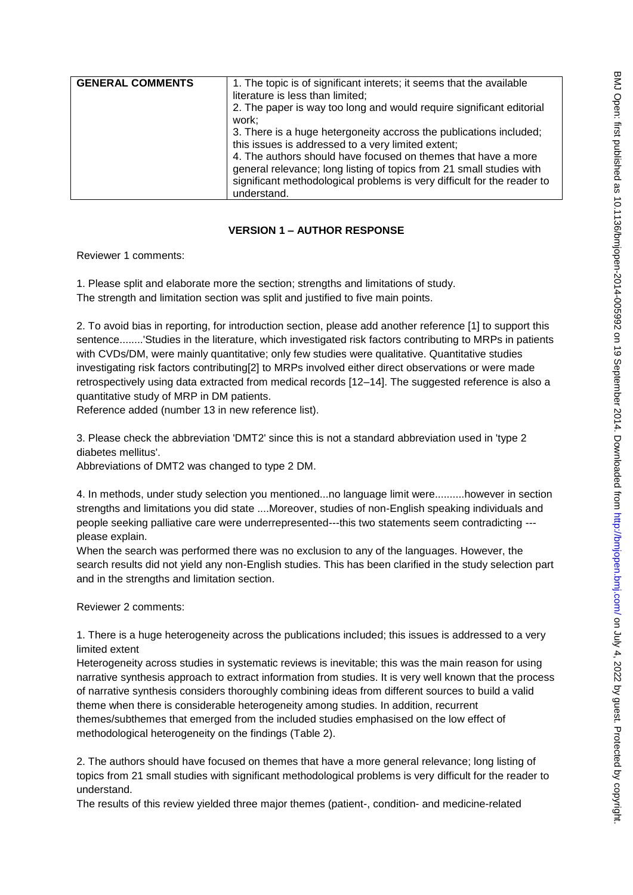| this issues is addressed to a very limited extent;<br>4. The authors should have focused on themes that have a more<br>general relevance; long listing of topics from 21 small studies with<br>significant methodological problems is very difficult for the reader to<br>understand. |
|---------------------------------------------------------------------------------------------------------------------------------------------------------------------------------------------------------------------------------------------------------------------------------------|
|---------------------------------------------------------------------------------------------------------------------------------------------------------------------------------------------------------------------------------------------------------------------------------------|

### **VERSION 1 – AUTHOR RESPONSE**

Reviewer 1 comments:

1. Please split and elaborate more the section; strengths and limitations of study. The strength and limitation section was split and justified to five main points.

2. To avoid bias in reporting, for introduction section, please add another reference [1] to support this sentence........'Studies in the literature, which investigated risk factors contributing to MRPs in patients with CVDs/DM, were mainly quantitative; only few studies were qualitative. Quantitative studies investigating risk factors contributing[2] to MRPs involved either direct observations or were made retrospectively using data extracted from medical records [12–14]. The suggested reference is also a quantitative study of MRP in DM patients.

Reference added (number 13 in new reference list).

3. Please check the abbreviation 'DMT2' since this is not a standard abbreviation used in 'type 2 diabetes mellitus'.

Abbreviations of DMT2 was changed to type 2 DM.

4. In methods, under study selection you mentioned...no language limit were..........however in section strengths and limitations you did state ....Moreover, studies of non-English speaking individuals and people seeking palliative care were underrepresented---this two statements seem contradicting -- please explain.

When the search was performed there was no exclusion to any of the languages. However, the search results did not yield any non-English studies. This has been clarified in the study selection part and in the strengths and limitation section.

Reviewer 2 comments:

1. There is a huge heterogeneity across the publications included; this issues is addressed to a very limited extent

Heterogeneity across studies in systematic reviews is inevitable; this was the main reason for using narrative synthesis approach to extract information from studies. It is very well known that the process of narrative synthesis considers thoroughly combining ideas from different sources to build a valid theme when there is considerable heterogeneity among studies. In addition, recurrent themes/subthemes that emerged from the included studies emphasised on the low effect of methodological heterogeneity on the findings (Table 2).

2. The authors should have focused on themes that have a more general relevance; long listing of topics from 21 small studies with significant methodological problems is very difficult for the reader to understand.

The results of this review yielded three major themes (patient-, condition- and medicine-related